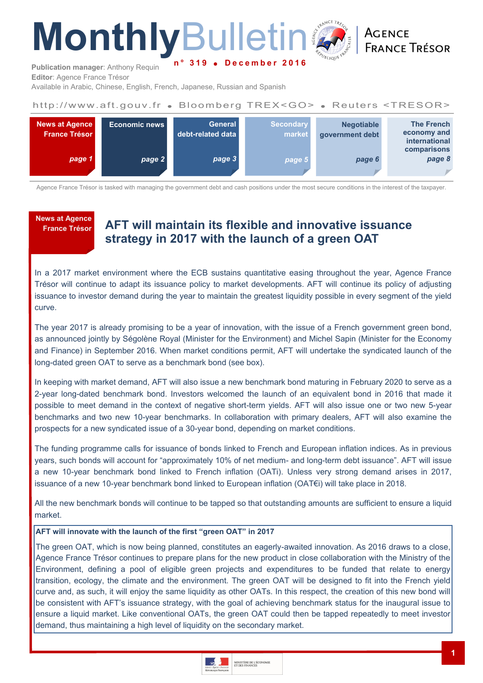# **Monthly**Bulletin **n ° 3 1 9 D e c e m b e r 2 0 1 6**

ACENCE **FRANCE TRÉSOR** 

**Publication manager**: Anthony Requin **Editor**: Agence France Trésor

Available in Arabic, Chinese, English, French, Japanese, Russian and Spanish

# http://www.aft.gouv.fr . Bloomberg TREX<GO> . Reuters <TRESOR>



Agence France Trésor is tasked with managing the government debt and cash positions under the most secure conditions in the interest of the taxpayer.

**News at Agence** 

# **France Trésor AFT will maintain its flexible and innovative issuance strategy in 2017 with the launch of a green OAT**

In a 2017 market environment where the ECB sustains quantitative easing throughout the year, Agence France Trésor will continue to adapt its issuance policy to market developments. AFT will continue its policy of adjusting issuance to investor demand during the year to maintain the greatest liquidity possible in every segment of the yield curve.

The year 2017 is already promising to be a year of innovation, with the issue of a French government green bond, as announced jointly by Ségolène Royal (Minister for the Environment) and Michel Sapin (Minister for the Economy and Finance) in September 2016. When market conditions permit, AFT will undertake the syndicated launch of the long-dated green OAT to serve as a benchmark bond (see box).

In keeping with market demand, AFT will also issue a new benchmark bond maturing in February 2020 to serve as a 2-year long-dated benchmark bond. Investors welcomed the launch of an equivalent bond in 2016 that made it possible to meet demand in the context of negative short-term yields. AFT will also issue one or two new 5-year benchmarks and two new 10-year benchmarks. In collaboration with primary dealers, AFT will also examine the prospects for a new syndicated issue of a 30-year bond, depending on market conditions.

The funding programme calls for issuance of bonds linked to French and European inflation indices. As in previous years, such bonds will account for "approximately 10% of net medium- and long-term debt issuance". AFT will issue a new 10-year benchmark bond linked to French inflation (OATi). Unless very strong demand arises in 2017, issuance of a new 10-year benchmark bond linked to European inflation (OAT€i) will take place in 2018.

All the new benchmark bonds will continue to be tapped so that outstanding amounts are sufficient to ensure a liquid market.

## **AFT will innovate with the launch of the first "green OAT" in 2017**

The green OAT, which is now being planned, constitutes an eagerly-awaited innovation. As 2016 draws to a close, Agence France Trésor continues to prepare plans for the new product in close collaboration with the Ministry of the Environment, defining a pool of eligible green projects and expenditures to be funded that relate to energy transition, ecology, the climate and the environment. The green OAT will be designed to fit into the French yield curve and, as such, it will enjoy the same liquidity as other OATs. In this respect, the creation of this new bond will be consistent with AFT's issuance strategy, with the goal of achieving benchmark status for the inaugural issue to ensure a liquid market. Like conventional OATs, the green OAT could then be tapped repeatedly to meet investor demand, thus maintaining a high level of liquidity on the secondary market.

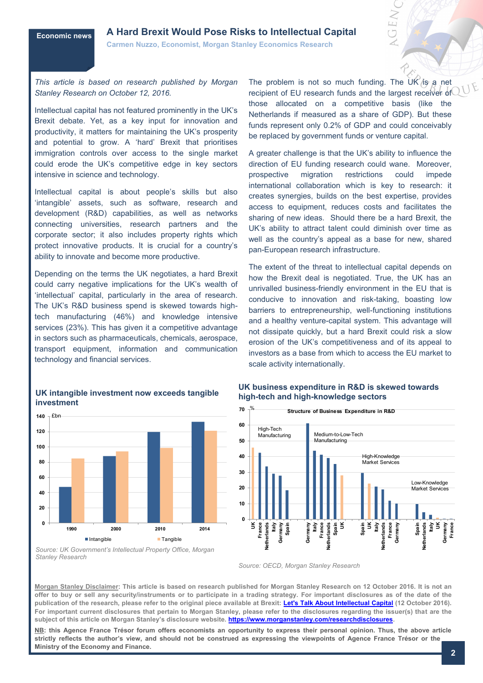# **Economic news A Hard Brexit Would Pose Risks to Intellectual Capital**

**Carmen Nuzzo, Economist, Morgan Stanley Economics Research** 

*This article is based on research published by Morgan Stanley Research on October 12, 2016.*

Intellectual capital has not featured prominently in the UK's Brexit debate. Yet, as a key input for innovation and productivity, it matters for maintaining the UK's prosperity and potential to grow. A 'hard' Brexit that prioritises immigration controls over access to the single market could erode the UK's competitive edge in key sectors intensive in science and technology.

Intellectual capital is about people's skills but also 'intangible' assets, such as software, research and development (R&D) capabilities, as well as networks connecting universities, research partners and the corporate sector; it also includes property rights which protect innovative products. It is crucial for a country's ability to innovate and become more productive.

Depending on the terms the UK negotiates, a hard Brexit could carry negative implications for the UK's wealth of 'intellectual' capital, particularly in the area of research. The UK's R&D business spend is skewed towards hightech manufacturing (46%) and knowledge intensive services (23%). This has given it a competitive advantage in sectors such as pharmaceuticals, chemicals, aerospace, transport equipment, information and communication technology and financial services.

#### **UK intangible investment now exceeds tangible investment**



*Source: UK Government's Intellectual Property Office, Morgan Stanley Research*

The problem is not so much funding. The UK is a net recipient of EU research funds and the largest receiver of those allocated on a competitive basis (like the Netherlands if measured as a share of GDP). But these funds represent only 0.2% of GDP and could conceivably be replaced by government funds or venture capital.

A greater challenge is that the UK's ability to influence the direction of EU funding research could wane. Moreover, prospective migration restrictions could impede international collaboration which is key to research: it creates synergies, builds on the best expertise, provides access to equipment, reduces costs and facilitates the sharing of new ideas. Should there be a hard Brexit, the UK's ability to attract talent could diminish over time as well as the country's appeal as a base for new, shared pan-European research infrastructure.

The extent of the threat to intellectual capital depends on how the Brexit deal is negotiated. True, the UK has an unrivalled business-friendly environment in the EU that is conducive to innovation and risk-taking, boasting low barriers to entrepreneurship, well-functioning institutions and a healthy venture-capital system. This advantage will not dissipate quickly, but a hard Brexit could risk a slow erosion of the UK's competitiveness and of its appeal to investors as a base from which to access the EU market to scale activity internationally.

#### **UK business expenditure in R&D is skewed towards high-tech and high-knowledge sectors**



*Source: OECD, Morgan Stanley Research*

**Morgan Stanley Disclaimer: This article is based on research published for Morgan Stanley Research on 12 October 2016. It is not an offer to buy or sell any security/instruments or to participate in a trading strategy. For important disclosures as of the date of the publication of the research, please refer to the original piece available at Brexit: [Let's Talk About Intellectual Capital](https://ny.matrix.ms.com/eqr/article/webapp/2b471bec-57d2-11e6-acee-60501fd10d77?t=1476286559%3A1630%3A3328%3Avmias1106667&m=1&ch=autob) (12 October 2016). For important current disclosures that pertain to Morgan Stanley, please refer to the disclosures regarding the issuer(s) that are the subject of this article on Morgan Stanley's disclosure website. [https://www.morganstanley.com/researchdisclosures.](https://www.morganstanley.com/researchdisclosures)**

**NB: this Agence France Trésor forum offers economists an opportunity to express their personal opinion. Thus, the above article strictly reflects the author's view, and should not be construed as expressing the viewpoints of Agence France Trésor or the Ministry of the Economy and Finance.**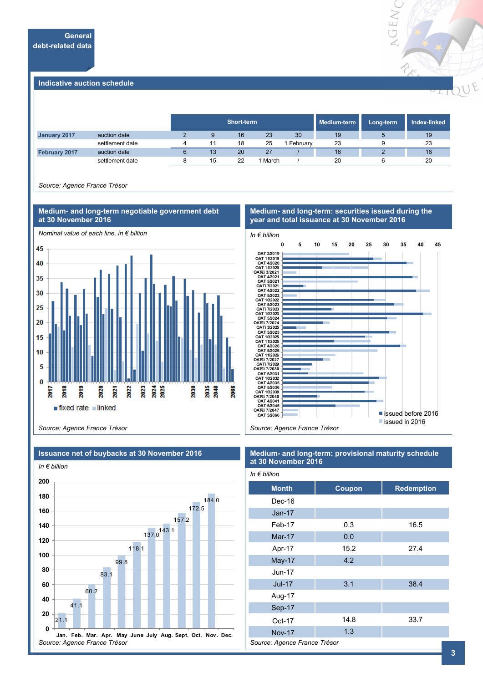

#### **Indicative auction schedule**

|                      |                 |   | Short-term |    |       |            | Medium-term | Long-term | Index-linked |
|----------------------|-----------------|---|------------|----|-------|------------|-------------|-----------|--------------|
| January 2017         | auction date    |   | 9          | 16 | 23    | 30         | 19          | 5         | 19           |
|                      | settlement date | 4 |            | 18 | 25    | l Februarv | 23          |           | 23           |
| <b>February 2017</b> | auction date    |   | 13         | 20 | 27    |            | 16          |           | 16           |
|                      | settlement date |   | 15         | 22 | March |            | 20          |           | 20           |

*Source: Agence France Trésor*



#### **Medium- and long-term: securities issued during the year and total issuance at 30 November 2016**



*Source: Agence France Trésor*



# **Issuance net of buybacks at 30 November 2016**

#### **Medium- and long-term: provisional maturity schedule at 30 November 2016**

| In $\epsilon$ billion        |        |                   |  |  |  |
|------------------------------|--------|-------------------|--|--|--|
| <b>Month</b>                 | Coupon | <b>Redemption</b> |  |  |  |
| Dec-16                       |        |                   |  |  |  |
| $Jan-17$                     |        |                   |  |  |  |
| Feb-17                       | 0.3    | 16.5              |  |  |  |
| $Mar-17$                     | 0.0    |                   |  |  |  |
| Apr-17                       | 15.2   | 27.4              |  |  |  |
| May-17                       | 4.2    |                   |  |  |  |
| $Jun-17$                     |        |                   |  |  |  |
| <b>Jul-17</b>                | 3.1    | 38.4              |  |  |  |
| Aug-17                       |        |                   |  |  |  |
| Sep-17                       |        |                   |  |  |  |
| Oct-17                       | 14.8   | 33.7              |  |  |  |
| <b>Nov-17</b>                | 1.3    |                   |  |  |  |
| Source: Agence France Trésor |        |                   |  |  |  |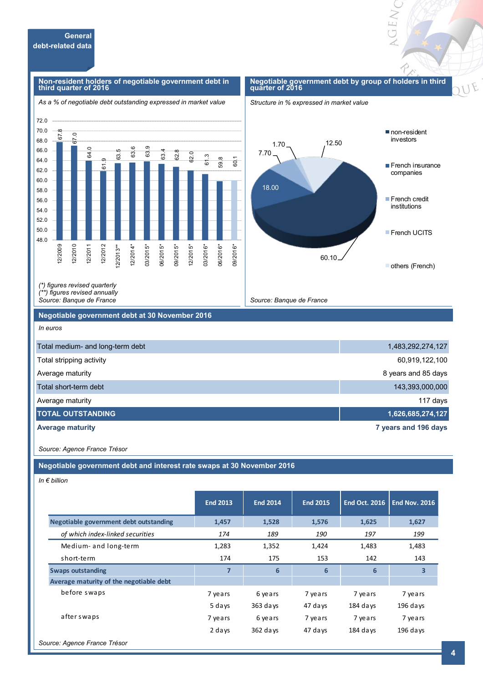#### **Non-resident holders of negotiable government debt in third quarter of 2016**

#### *As a % of negotiable debt outstanding expressed in market value*

#### **Negotiable government debt by group of holders in third quarter of 2016**

**GENC** 

F

*Structure in % expressed in market value* 





*(\*) figures revised quarterly (\*\*) figures revised annually* 

*Source: Banque de France*

#### **Negotiable government debt at 30 November 2016**

*In euros*

| Total medium- and long-term debt | 1,483,292,274,127    |
|----------------------------------|----------------------|
| Total stripping activity         | 60,919,122,100       |
| Average maturity                 | 8 years and 85 days  |
| Total short-term debt            | 143,393,000,000      |
| Average maturity                 | 117 days             |
| <b>ITOTAL OUTSTANDING</b>        | 1,626,685,274,127    |
| <b>Average maturity</b>          | 7 years and 196 days |

*Source: Agence France Trésor*

**Negotiable government debt and interest rate swaps at 30 November 2016**

*In € billion*

|                                         | <b>End 2013</b> | <b>End 2014</b> | <b>End 2015</b> | <b>End Oct. 2016</b> | <b>End Nov. 2016</b> |
|-----------------------------------------|-----------------|-----------------|-----------------|----------------------|----------------------|
| Negotiable government debt outstanding  | 1,457           | 1,528           | 1,576           | 1,625                | 1,627                |
| of which index-linked securities        | 174             | 189             | 190             | 197                  | 199                  |
| Medium- and long-term                   | 1,283           | 1,352           | 1,424           | 1,483                | 1,483                |
| short-term                              | 174             | 175             | 153             | 142                  | 143                  |
| <b>Swaps outstanding</b>                | 7               | 6               | $6\phantom{1}6$ | 6                    | 3                    |
| Average maturity of the negotiable debt |                 |                 |                 |                      |                      |
| before swaps                            | 7 years         | 6 years         | 7 years         | 7 years              | 7 years              |
|                                         | 5 days          | $363$ days      | 47 days         | $184$ days           | $196$ days           |
| after swaps                             | 7 years         | 6 years         | 7 years         | 7 years              | 7 years              |
|                                         | 2 days          | $362$ days      | 47 days         | $184$ days           | $196$ days           |
| Source: Agence France Trésor            |                 |                 |                 |                      |                      |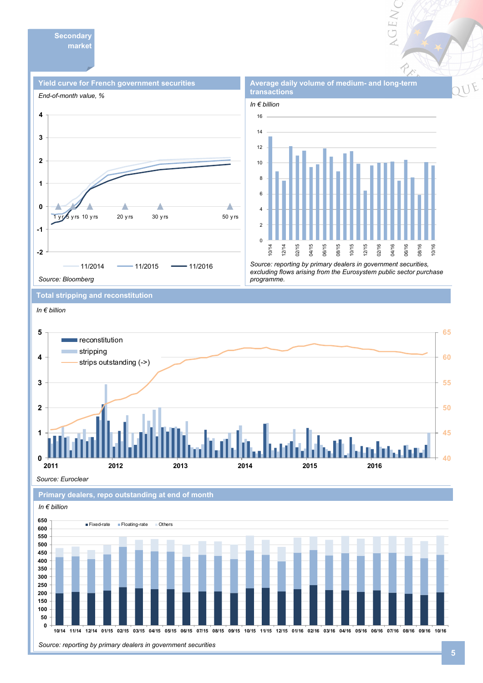**Secondary market** 





VGEN

*Source: reporting by primary dealers in government securities, excluding flows arising from the Eurosystem public sector purchase programme.* 

**Total stripping and reconstitution** 

*In € billion*



*Source: Euroclear*

**Primary dealers, repo outstanding at end of month** 

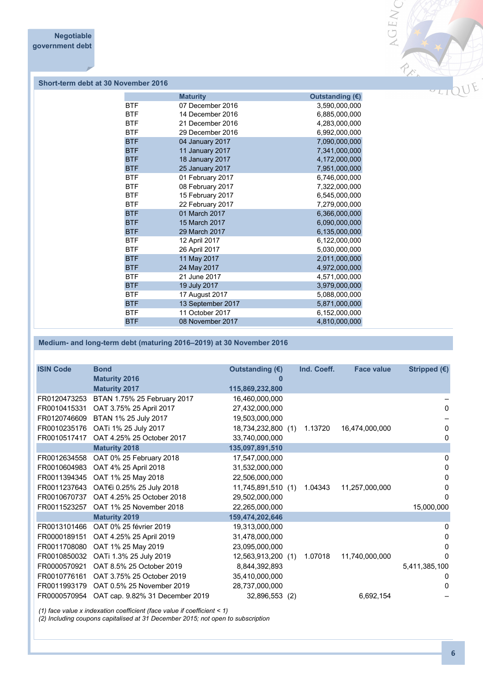

## **Short-term debt at 30 November 2016**

|            | <b>Maturity</b>   | Outstanding $(\epsilon)$ |
|------------|-------------------|--------------------------|
| <b>BTF</b> | 07 December 2016  | 3,590,000,000            |
| <b>BTF</b> | 14 December 2016  | 6,885,000,000            |
| <b>BTF</b> | 21 December 2016  | 4,283,000,000            |
| <b>BTF</b> | 29 December 2016  | 6,992,000,000            |
| <b>BTF</b> | 04 January 2017   | 7,090,000,000            |
| <b>BTF</b> | 11 January 2017   | 7,341,000,000            |
| <b>BTF</b> | 18 January 2017   | 4,172,000,000            |
| <b>BTF</b> | 25 January 2017   | 7,951,000,000            |
| <b>BTF</b> | 01 February 2017  | 6,746,000,000            |
| <b>BTF</b> | 08 February 2017  | 7,322,000,000            |
| <b>BTF</b> | 15 February 2017  | 6,545,000,000            |
| <b>BTF</b> | 22 February 2017  | 7,279,000,000            |
| <b>BTF</b> | 01 March 2017     | 6,366,000,000            |
| <b>BTF</b> | 15 March 2017     | 6,090,000,000            |
| <b>BTF</b> | 29 March 2017     | 6,135,000,000            |
| <b>BTF</b> | 12 April 2017     | 6,122,000,000            |
| <b>BTF</b> | 26 April 2017     | 5,030,000,000            |
| <b>BTF</b> | 11 May 2017       | 2,011,000,000            |
| <b>BTF</b> | 24 May 2017       | 4,972,000,000            |
| <b>BTF</b> | 21 June 2017      | 4,571,000,000            |
| <b>BTF</b> | 19 July 2017      | 3,979,000,000            |
| <b>BTF</b> | 17 August 2017    | 5,088,000,000            |
| <b>BTF</b> | 13 September 2017 | 5,871,000,000            |
| <b>BTF</b> | 11 October 2017   | 6,152,000,000            |
| <b>BTF</b> | 08 November 2017  | 4,810,000,000            |
|            |                   |                          |

### **Medium- and long-term debt (maturing 2016–2019) at 30 November 2016**

| <b>ISIN Code</b> | <b>Bond</b>                     | Outstanding (€)    | Ind. Coeff. | <b>Face value</b> | Stripped $(€)$ |
|------------------|---------------------------------|--------------------|-------------|-------------------|----------------|
|                  | <b>Maturity 2016</b>            |                    |             |                   |                |
|                  | <b>Maturity 2017</b>            | 115,869,232,800    |             |                   |                |
| FR0120473253     | BTAN 1.75% 25 February 2017     | 16,460,000,000     |             |                   |                |
| FR0010415331     | OAT 3.75% 25 April 2017         | 27,432,000,000     |             |                   | 0              |
| FR0120746609     | BTAN 1% 25 July 2017            | 19,503,000,000     |             |                   |                |
| FR0010235176     | OATi 1% 25 July 2017            | 18,734,232,800 (1) | 1.13720     | 16,474,000,000    | 0              |
| FR0010517417     | OAT 4.25% 25 October 2017       | 33,740,000,000     |             |                   | 0              |
|                  | <b>Maturity 2018</b>            | 135,097,891,510    |             |                   |                |
| FR0012634558     | OAT 0% 25 February 2018         | 17,547,000,000     |             |                   | 0              |
| FR0010604983     | OAT 4% 25 April 2018            | 31,532,000,000     |             |                   | 0              |
| FR0011394345     | OAT 1% 25 May 2018              | 22,506,000,000     |             |                   | 0              |
| FR0011237643     | OAT€i 0.25% 25 July 2018        | 11,745,891,510 (1) | 1.04343     | 11,257,000,000    | 0              |
| FR0010670737     | OAT 4.25% 25 October 2018       | 29,502,000,000     |             |                   | O              |
| FR0011523257     | OAT 1% 25 November 2018         | 22,265,000,000     |             |                   | 15,000,000     |
|                  | <b>Maturity 2019</b>            | 159,474,202,646    |             |                   |                |
| FR0013101466     | OAT 0% 25 février 2019          | 19,313,000,000     |             |                   | 0              |
| FR0000189151     | OAT 4.25% 25 April 2019         | 31,478,000,000     |             |                   | 0              |
| FR0011708080     | OAT 1% 25 May 2019              | 23,095,000,000     |             |                   | $\Omega$       |
| FR0010850032     | OATi 1.3% 25 July 2019          | 12,563,913,200 (1) | 1.07018     | 11,740,000,000    | 0              |
| FR0000570921     | OAT 8.5% 25 October 2019        | 8,844,392,893      |             |                   | 5,411,385,100  |
| FR0010776161     | OAT 3.75% 25 October 2019       | 35,410,000,000     |             |                   | 0              |
| FR0011993179     | OAT 0.5% 25 November 2019       | 28,737,000,000     |             |                   | 0              |
| FR0000570954     | OAT cap. 9.82% 31 December 2019 | 32,896,553 (2)     |             | 6,692,154         |                |
|                  |                                 |                    |             |                   |                |

*(1) face value x indexation coefficient (face value if coefficient < 1)*

*(2) Including coupons capitalised at 31 December 2015; not open to subscription*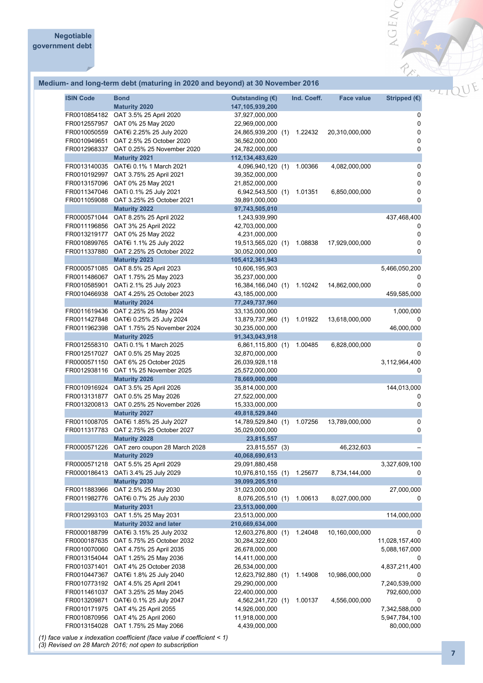

|  |  | Medium- and long-term debt (maturing in 2020 and beyond) at 30 November 2016 |
|--|--|------------------------------------------------------------------------------|
|  |  |                                                                              |

| <b>ISIN Code</b>                                             | <b>Bond</b><br><b>Maturity 2020</b>                                                                                                                          | Outstanding $(E)$<br>147,105,939,200                                                       | Ind. Coeff. | <b>Face value</b> | Stripped $(€)$                          |
|--------------------------------------------------------------|--------------------------------------------------------------------------------------------------------------------------------------------------------------|--------------------------------------------------------------------------------------------|-------------|-------------------|-----------------------------------------|
| FR0012557957<br>FR0010050559<br>FR0010949651                 | FR0010854182 OAT 3.5% 25 April 2020<br>OAT 0% 25 May 2020<br>OAT€i 2.25% 25 July 2020<br>OAT 2.5% 25 October 2020<br>FR0012968337 OAT 0.25% 25 November 2020 | 37,927,000,000<br>22,969,000,000<br>24,865,939,200 (1)<br>36,562,000,000<br>24,782,000,000 | 1.22432     | 20,310,000,000    | 0<br>$\pmb{0}$<br>0<br>$\mathbf 0$<br>0 |
| FR0013140035                                                 | <b>Maturity 2021</b><br>OAT€i 0.1% 1 March 2021                                                                                                              | 112, 134, 483, 620<br>4,096,940,120 (1)                                                    | 1.00366     | 4,082,000,000     | $\mathbf 0$                             |
| FR0010192997<br>FR0013157096<br>FR0011347046<br>FR0011059088 | OAT 3.75% 25 April 2021<br>OAT 0% 25 May 2021<br>OATi 0.1% 25 July 2021<br>OAT 3.25% 25 October 2021<br><b>Maturity 2022</b>                                 | 39,352,000,000<br>21,852,000,000<br>6,942,543,500 (1)<br>39,891,000,000<br>97,743,505,010  | 1.01351     | 6,850,000,000     | $\mathbf 0$<br>0<br>0<br>$\Omega$       |
|                                                              | FR0000571044 OAT 8.25% 25 April 2022                                                                                                                         | 1,243,939,990                                                                              |             |                   | 437,468,400                             |
| FR0011196856<br>FR0013219177<br>FR0010899765                 | OAT 3% 25 April 2022<br>OAT 0% 25 May 2022<br>OAT€i 1.1% 25 July 2022<br>FR0011337880 OAT 2.25% 25 October 2022                                              | 42,703,000,000<br>4,231,000,000<br>19,513,565,020 (1)<br>30,052,000,000                    | 1.08838     | 17,929,000,000    | 0<br>$\mathbf 0$<br>$\mathbf 0$<br>0    |
| FR0000571085                                                 | <b>Maturity 2023</b><br>OAT 8.5% 25 April 2023                                                                                                               | 105,412,361,943<br>10,606,195,903                                                          |             |                   | 5,466,050,200                           |
| FR0011486067<br>FR0010585901<br>FR0010466938                 | OAT 1.75% 25 May 2023<br>OATi 2.1% 25 July 2023<br>OAT 4.25% 25 October 2023                                                                                 | 35,237,000,000<br>16,384,166,040 (1)<br>43,185,000,000                                     | 1.10242     | 14,862,000,000    | 0<br>0<br>459,585,000                   |
| FR0011619436                                                 | <b>Maturity 2024</b><br>OAT 2.25% 25 May 2024                                                                                                                | 77,249,737,960<br>33,135,000,000                                                           |             |                   | 1,000,000                               |
| FR0011962398                                                 | FR0011427848 OAT€i 0.25% 25 July 2024<br>OAT 1.75% 25 November 2024                                                                                          | 13,879,737,960 (1)<br>30,235,000,000                                                       | 1.01922     | 13,618,000,000    | 46,000,000                              |
|                                                              | <b>Maturity 2025</b>                                                                                                                                         | 91,343,043,918                                                                             |             |                   |                                         |
| FR0012558310<br>FR0000571150                                 | OATi 0.1% 1 March 2025<br>FR0012517027 OAT 0.5% 25 May 2025<br>OAT 6% 25 October 2025                                                                        | 6,861,115,800 (1)<br>32,870,000,000<br>26,039,928,118                                      | 1.00485     | 6,828,000,000     | 0<br>0<br>3,112,964,400                 |
| FR0012938116                                                 | OAT 1% 25 November 2025<br><b>Maturity 2026</b>                                                                                                              | 25,572,000,000<br>78,669,000,000                                                           |             |                   | $\Omega$                                |
| FR0013131877<br>FR0013200813                                 | FR0010916924 OAT 3.5% 25 April 2026<br>OAT 0.5% 25 May 2026<br>OAT 0.25% 25 November 2026                                                                    | 35,814,000,000<br>27,522,000,000<br>15,333,000,000                                         |             |                   | 144,013,000<br>0<br>$\mathbf 0$         |
|                                                              | <b>Maturity 2027</b>                                                                                                                                         | 49,818,529,840                                                                             |             |                   |                                         |
| FR0011317783                                                 | FR0011008705 OAT€i 1.85% 25 July 2027<br>OAT 2.75% 25 October 2027<br><b>Maturity 2028</b>                                                                   | 14,789,529,840 (1)<br>35,029,000,000<br>23,815,557                                         | 1.07256     | 13,789,000,000    | $\mathbf 0$<br>0                        |
|                                                              | FR0000571226 OAT zero coupon 28 March 2028                                                                                                                   | 23,815,557 (3)                                                                             |             | 46,232,603        |                                         |
|                                                              | <b>Maturity 2029</b>                                                                                                                                         | 40,068,690,613                                                                             |             |                   |                                         |
| FR0000571218<br>FR0000186413                                 | OAT 5.5% 25 April 2029<br>OATi 3.4% 25 July 2029                                                                                                             | 29,091,880,458<br>10,976,810,155 (1)                                                       | 1.25677     | 8,734,144,000     | 3,327,609,100<br>0                      |
|                                                              | <b>Maturity 2030</b>                                                                                                                                         | 39,099,205,510                                                                             |             |                   |                                         |
| FR0011883966<br>FR0011982776                                 | OAT 2.5% 25 May 2030<br>OAT€i 0.7% 25 July 2030                                                                                                              | 31,023,000,000<br>8,076,205,510 (1)                                                        | 1.00613     | 8,027,000,000     | 27,000,000<br>0                         |
| FR0012993103                                                 | <b>Maturity 2031</b><br>OAT 1.5% 25 May 2031                                                                                                                 | 23,513,000,000<br>23,513,000,000                                                           |             |                   | 114,000,000                             |
|                                                              | Maturity 2032 and later                                                                                                                                      | 210,669,634,000                                                                            |             |                   |                                         |
| FR0000188799                                                 | OAT€i 3.15% 25 July 2032                                                                                                                                     | 12,603,276,800 (1)                                                                         | 1.24048     | 10,160,000,000    | 0                                       |
| FR0000187635<br>FR0010070060                                 | OAT 5.75% 25 October 2032                                                                                                                                    | 30,284,322,600                                                                             |             |                   | 11,028,157,400                          |
| FR0013154044                                                 | OAT 4.75% 25 April 2035<br>OAT 1.25% 25 May 2036                                                                                                             | 26,678,000,000<br>14,411,000,000                                                           |             |                   | 5,088,167,000<br>0                      |
| FR0010371401                                                 | OAT 4% 25 October 2038                                                                                                                                       | 26,534,000,000                                                                             |             |                   | 4,837,211,400                           |
| FR0010447367                                                 | OAT€i 1.8% 25 July 2040                                                                                                                                      | 12,623,792,880 (1)                                                                         | 1.14908     | 10,986,000,000    | 0                                       |
| FR0010773192<br>FR0011461037                                 | OAT 4.5% 25 April 2041<br>OAT 3.25% 25 May 2045                                                                                                              | 29,290,000,000<br>22,400,000,000                                                           |             |                   | 7,240,539,000<br>792,600,000            |
| FR0013209871                                                 | OAT€i 0.1% 25 July 2047                                                                                                                                      | 4,562,241,720 (1)                                                                          | 1.00137     | 4,556,000,000     | 0                                       |
| FR0010171975                                                 | OAT 4% 25 April 2055                                                                                                                                         | 14,926,000,000                                                                             |             |                   | 7,342,588,000                           |
| FR0010870956<br>FR0013154028                                 | OAT 4% 25 April 2060<br>OAT 1.75% 25 May 2066                                                                                                                | 11,918,000,000<br>4,439,000,000                                                            |             |                   | 5,947,784,100<br>80,000,000             |

*(1) face value x indexation coefficient (face value if coefficient < 1)*

*(3) Revised on 28 March 2016; not open to subscription*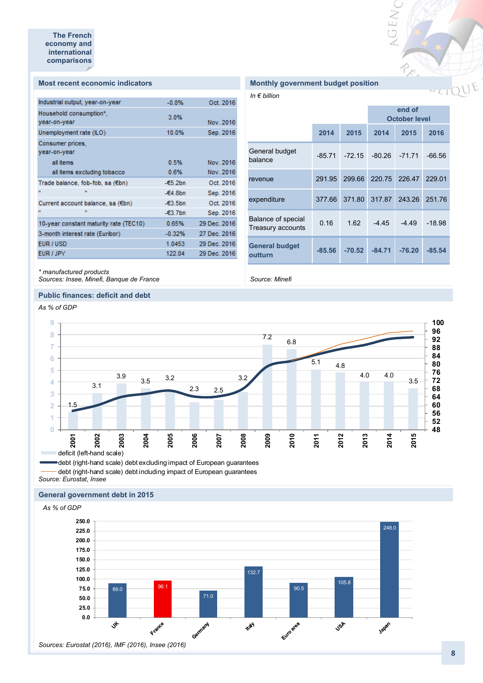#### **Most recent economic indicators**

| Industrial output, year-on-year        | $-0.8%$    | Oct. 2016    |
|----------------------------------------|------------|--------------|
| Household consumption*,                | 3.0%       |              |
| year-on-year                           |            | Nov. 2016    |
| Unemployment rate (ILO)                | 10.0%      | Sep. 2016    |
| Consumer prices.                       |            |              |
| year-on-year                           |            |              |
| all items                              | 0.5%       | Nov. 2016    |
| all items excluding tobacco            | 0.6%       | Nov. 2016    |
| Trade balance, fob-fob, sa (€bn)       | $-65.2bn$  | Oct. 2016    |
| m                                      | $-64.8bn$  | Sep. 2016    |
| Current account balance, sa (€bn)      | $-63.5$ bn | Oct. 2016    |
|                                        | $-63.7$ bn | Sep. 2016    |
| 10-year constant maturity rate (TEC10) | 0.65%      | 29 Dec. 2016 |
| 3-month interest rate (Euribor)        | $-0.32%$   | 27 Dec. 2016 |
| EUR / USD                              | 1.0453     | 29 Dec. 2016 |
| EUR / JPY                              | 122.04     | 29 Dec. 2016 |
|                                        |            |              |

| <b>Monthly government budget position</b> |  |  |
|-------------------------------------------|--|--|
|-------------------------------------------|--|--|

*In € billion*

*Source: Minefi*

|                                         |          |          |          | end of<br><b>October level</b> |          |
|-----------------------------------------|----------|----------|----------|--------------------------------|----------|
|                                         | 2014     | 2015     | 2014     | 2015                           | 2016     |
| General budget<br>balance               | $-85.71$ | $-72.15$ | $-80.26$ | $-71.71$                       | $-66.56$ |
| revenue                                 | 291.95   | 299.66   | 220.75   | 226.47                         | 229.01   |
| expenditure                             | 377.66   | 371.80   | 317.87   | 243.26                         | 251.76   |
| Balance of special<br>Treasury accounts | 0.16     | 1.62     | $-4.45$  | $-4.49$                        | $-18.98$ |
| <b>General budget</b><br>outturn        | $-85.56$ | $-70.52$ | $-84.71$ | $-76.20$                       | -85.54   |

OEN

REA

*\* manufactured products Sources: Insee, Minefi, Banque de France*

#### **Public finances: deficit and debt**

*As % of GDP*



*Source: Eurostat, Insee* debt (right-hand scale) debt excluding impact of European guarantees - debt (right-hand scale) debt including impact of European guarantees

#### **General government debt in 2015**

*As % of GDP*